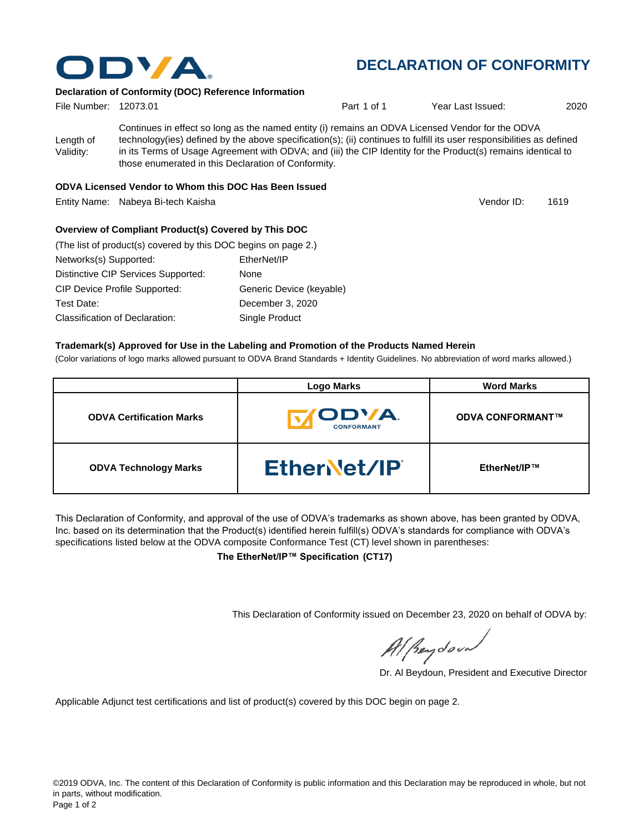

# **DECLARATION OF CONFORMITY**

Vendor ID:

### **Declaration of Conformity (DOC) Reference Information**

| File Number: 12073.01  |                                                                                                                                                                                                                                                                                                                                                                                                   | Part 1 of 1 | Year Last Issued: | 2020 |
|------------------------|---------------------------------------------------------------------------------------------------------------------------------------------------------------------------------------------------------------------------------------------------------------------------------------------------------------------------------------------------------------------------------------------------|-------------|-------------------|------|
| Length of<br>Validity: | Continues in effect so long as the named entity (i) remains an ODVA Licensed Vendor for the ODVA<br>technology(ies) defined by the above specification(s); (ii) continues to fulfill its user responsibilities as defined<br>in its Terms of Usage Agreement with ODVA; and (iii) the CIP Identity for the Product(s) remains identical to<br>those enumerated in this Declaration of Conformity. |             |                   |      |
|                        |                                                                                                                                                                                                                                                                                                                                                                                                   |             |                   |      |

#### **ODVA Licensed Vendor to Whom this DOC Has Been Issued**

Entity Name: Nabeya Bi-tech Kaisha 1619

#### **Overview of Compliant Product(s) Covered by This DOC**

| (The list of product(s) covered by this DOC begins on page 2.) |                          |
|----------------------------------------------------------------|--------------------------|
| Networks(s) Supported:                                         | EtherNet/IP              |
| Distinctive CIP Services Supported:                            | None                     |
| <b>CIP Device Profile Supported:</b>                           | Generic Device (keyable) |
| Test Date:                                                     | December 3, 2020         |
| Classification of Declaration:                                 | Single Product           |

#### **Trademark(s) Approved for Use in the Labeling and Promotion of the Products Named Herein**

(Color variations of logo marks allowed pursuant to ODVA Brand Standards + Identity Guidelines. No abbreviation of word marks allowed.)

|                                 | <b>Logo Marks</b>                  | <b>Word Marks</b>       |
|---------------------------------|------------------------------------|-------------------------|
| <b>ODVA Certification Marks</b> | <b>IODVA.</b><br><b>CONFORMANT</b> | <b>ODVA CONFORMANT™</b> |
| <b>ODVA Technology Marks</b>    | EtherNet/IP                        | EtherNet/IP™            |

This Declaration of Conformity, and approval of the use of ODVA's trademarks as shown above, has been granted by ODVA, Inc. based on its determination that the Product(s) identified herein fulfill(s) ODVA's standards for compliance with ODVA's specifications listed below at the ODVA composite Conformance Test (CT) level shown in parentheses:

**The EtherNet/IP™ Specification (CT17)**

This Declaration of Conformity issued on December 23, 2020 on behalf of ODVA by:

Al Beydoor

Dr. Al Beydoun, President and Executive Director

Applicable Adjunct test certifications and list of product(s) covered by this DOC begin on page 2.